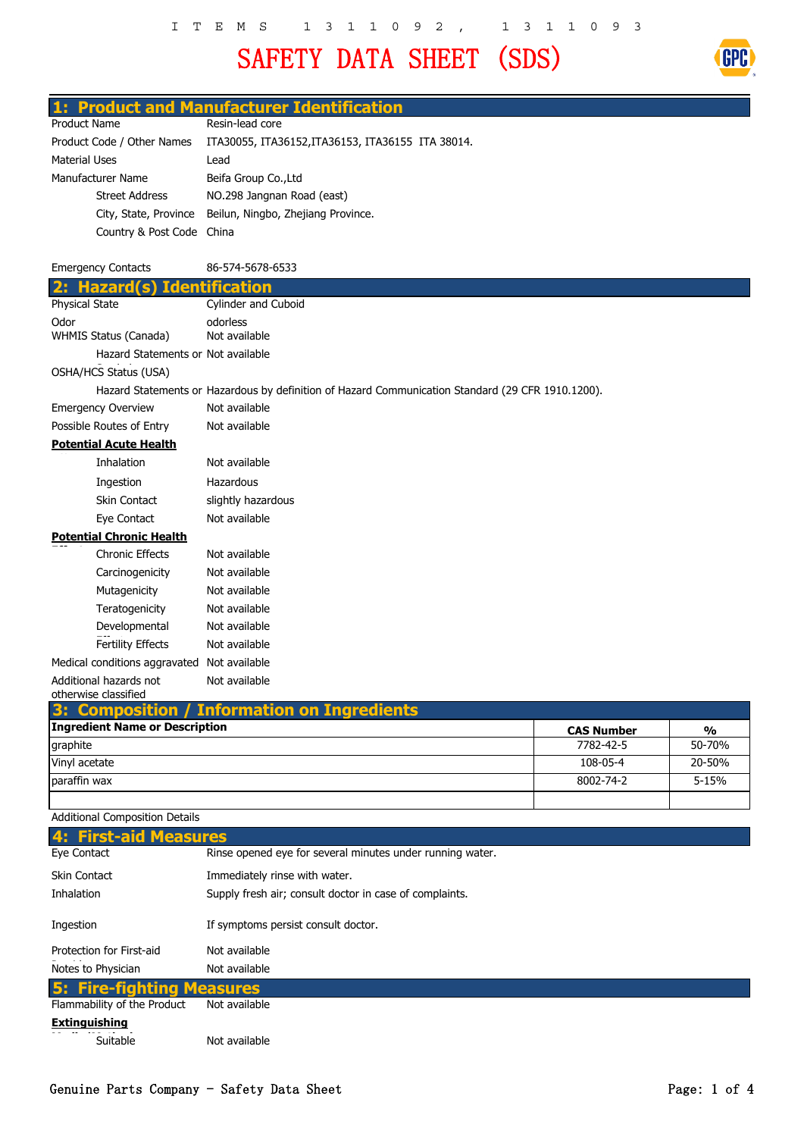## SAFETY DATA SHEET (SDS)



### **1: Product and Manufacturer Identification**

| Product Name               |                           | Resin-lead core                                          |  |
|----------------------------|---------------------------|----------------------------------------------------------|--|
| Product Code / Other Names |                           | ITA30055, ITA36152, ITA36153, ITA36155 ITA 38014.        |  |
| Material Uses              |                           | Lead                                                     |  |
| Manufacturer Name          |                           | Beifa Group Co., Ltd                                     |  |
|                            | <b>Street Address</b>     | NO.298 Jangnan Road (east)                               |  |
|                            |                           | City, State, Province Beilun, Ningbo, Zhejiang Province. |  |
|                            | Country & Post Code China |                                                          |  |

| <b>Emergency Contacts</b>                                                   | 86-574-5678-6533                                                                                  |  |  |  |  |
|-----------------------------------------------------------------------------|---------------------------------------------------------------------------------------------------|--|--|--|--|
| <b>Hazard</b><br>2:                                                         | <b>Identification</b>                                                                             |  |  |  |  |
| Physical State                                                              | Cylinder and Cuboid                                                                               |  |  |  |  |
| Odor<br>WHMIS Status (Canada)                                               | odorless<br>Not available                                                                         |  |  |  |  |
| Hazard Statements or Not available                                          |                                                                                                   |  |  |  |  |
| OSHA/HCS Status (USA)                                                       |                                                                                                   |  |  |  |  |
|                                                                             | Hazard Statements or Hazardous by definition of Hazard Communication Standard (29 CFR 1910.1200). |  |  |  |  |
| <b>Emergency Overview</b>                                                   | Not available                                                                                     |  |  |  |  |
| Possible Routes of Entry                                                    | Not available                                                                                     |  |  |  |  |
| <b>Potential Acute Health</b>                                               |                                                                                                   |  |  |  |  |
| Inhalation                                                                  | Not available                                                                                     |  |  |  |  |
| Ingestion                                                                   | Hazardous                                                                                         |  |  |  |  |
| <b>Skin Contact</b>                                                         | slightly hazardous                                                                                |  |  |  |  |
| Eye Contact                                                                 | Not available                                                                                     |  |  |  |  |
| <b>Potential Chronic Health</b>                                             |                                                                                                   |  |  |  |  |
| <b>Chronic Effects</b>                                                      | Not available                                                                                     |  |  |  |  |
| Carcinogenicity                                                             | Not available                                                                                     |  |  |  |  |
| Mutagenicity                                                                | Not available                                                                                     |  |  |  |  |
| Teratogenicity                                                              | Not available                                                                                     |  |  |  |  |
| Developmental                                                               | Not available                                                                                     |  |  |  |  |
| <b>Fertility Effects</b>                                                    | Not available                                                                                     |  |  |  |  |
| Medical conditions aggravated Not available                                 |                                                                                                   |  |  |  |  |
| Additional hazards not                                                      | Not available                                                                                     |  |  |  |  |
| otherwise classified<br>Composition<br>39                                   | <b>Information on Ingredients</b>                                                                 |  |  |  |  |
| <b>Ingredient Name or Description</b><br><b>CAS Number</b><br>$\frac{0}{0}$ |                                                                                                   |  |  |  |  |
| graphite                                                                    | 7782-42-5<br>50-70%                                                                               |  |  |  |  |

| graphite      | 7782-42-5 | 50-70%    |
|---------------|-----------|-----------|
| Vinyl acetate | 108-05-4  | 20-50%    |
| paraffin wax  | 8002-74-2 | $5 - 15%$ |
|               |           |           |

Additional Composition Details

| 4: First-aid Measures            |                                                           |
|----------------------------------|-----------------------------------------------------------|
| Eye Contact                      | Rinse opened eye for several minutes under running water. |
| Skin Contact                     | Immediately rinse with water.                             |
| Inhalation                       | Supply fresh air; consult doctor in case of complaints.   |
| Ingestion                        | If symptoms persist consult doctor.                       |
| Protection for First-aid         | Not available                                             |
| Notes to Physician               | Not available                                             |
| <b>5: Fire-fighting Measures</b> |                                                           |
| Flammability of the Product      | Not available                                             |
| <b>Extinguishing</b>             |                                                           |
| Suitable                         | Not available                                             |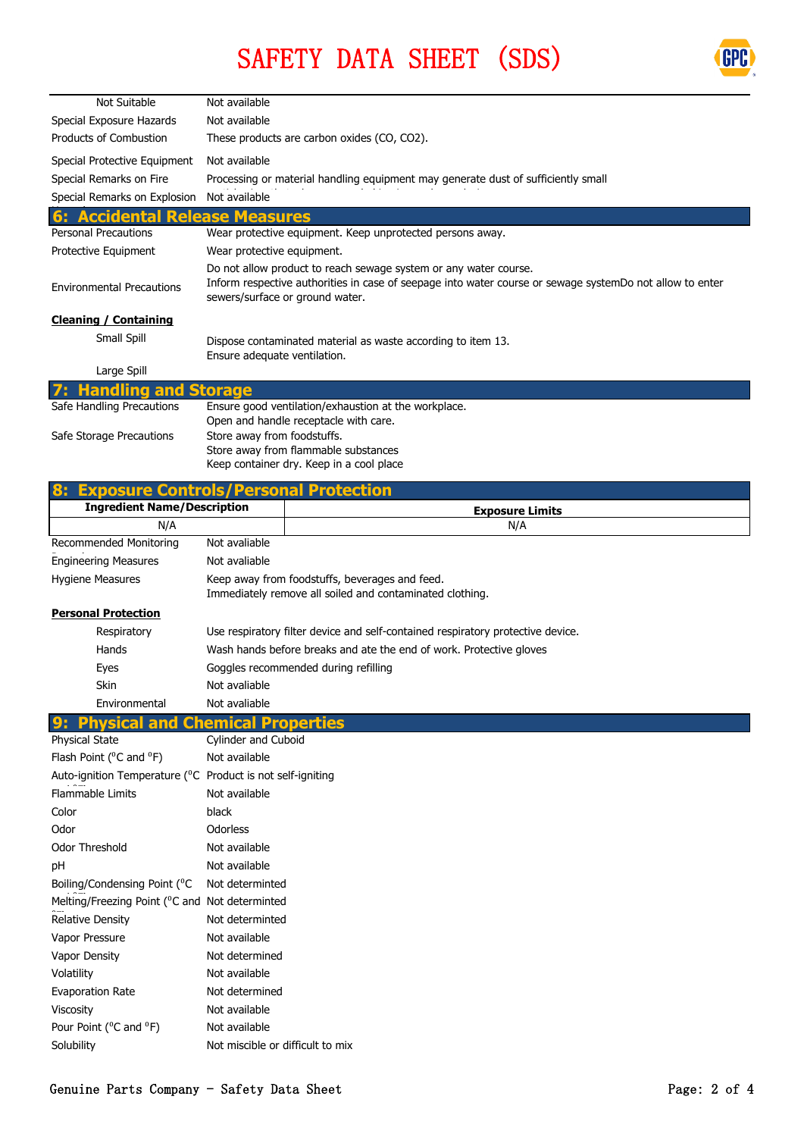



| Not Suitable                       | Not available                                                                                                                                                                                                   |
|------------------------------------|-----------------------------------------------------------------------------------------------------------------------------------------------------------------------------------------------------------------|
| Special Exposure Hazards           | Not available                                                                                                                                                                                                   |
| <b>Products of Combustion</b>      | These products are carbon oxides (CO, CO2).                                                                                                                                                                     |
| Special Protective Equipment       | Not available                                                                                                                                                                                                   |
| Special Remarks on Fire            | Processing or material handling equipment may generate dust of sufficiently small                                                                                                                               |
| Special Remarks on Explosion       | Not available                                                                                                                                                                                                   |
| <b>Accidental Release Measures</b> |                                                                                                                                                                                                                 |
| <b>Personal Precautions</b>        | Wear protective equipment. Keep unprotected persons away.                                                                                                                                                       |
| Protective Equipment               | Wear protective equipment.                                                                                                                                                                                      |
| <b>Environmental Precautions</b>   | Do not allow product to reach sewage system or any water course.<br>Inform respective authorities in case of seepage into water course or sewage systemDo not allow to enter<br>sewers/surface or ground water. |
| <b>Cleaning / Containing</b>       |                                                                                                                                                                                                                 |
| Small Spill                        | Dispose contaminated material as waste according to item 13.<br>Ensure adequate ventilation.                                                                                                                    |
| Large Spill                        |                                                                                                                                                                                                                 |
| <b>Handling and Storage</b>        |                                                                                                                                                                                                                 |
| Safe Handling Precautions          | Ensure good ventilation/exhaustion at the workplace.<br>Open and handle receptacle with care.                                                                                                                   |
| Safe Storage Precautions           | Store away from foodstuffs.<br>Store away from flammable substances<br>Keep container dry. Keep in a cool place                                                                                                 |
|                                    | $\mathbf{r}$ and $\mathbf{r}$<br><b>Sec. 19</b><br>.                                                                                                                                                            |

| <b>Exposure Controls/Personal Protection</b><br>8:                      |                                  |                                                                                                            |  |  |
|-------------------------------------------------------------------------|----------------------------------|------------------------------------------------------------------------------------------------------------|--|--|
| <b>Ingredient Name/Description</b>                                      |                                  | <b>Exposure Limits</b>                                                                                     |  |  |
| N/A                                                                     |                                  | N/A                                                                                                        |  |  |
| <b>Recommended Monitoring</b>                                           | Not avaliable                    |                                                                                                            |  |  |
| <b>Engineering Measures</b>                                             | Not avaliable                    |                                                                                                            |  |  |
| <b>Hygiene Measures</b>                                                 |                                  | Keep away from foodstuffs, beverages and feed.<br>Immediately remove all soiled and contaminated clothing. |  |  |
| <b>Personal Protection</b>                                              |                                  |                                                                                                            |  |  |
| Respiratory                                                             |                                  | Use respiratory filter device and self-contained respiratory protective device.                            |  |  |
| Hands                                                                   |                                  | Wash hands before breaks and ate the end of work. Protective gloves                                        |  |  |
| Eyes                                                                    |                                  | Goggles recommended during refilling                                                                       |  |  |
| Skin                                                                    | Not avaliable                    |                                                                                                            |  |  |
| Environmental                                                           | Not avaliable                    |                                                                                                            |  |  |
| Physical<br>and                                                         | emical                           | <b>Properties</b>                                                                                          |  |  |
| <b>Physical State</b>                                                   | Cylinder and Cuboid              |                                                                                                            |  |  |
| Flash Point ( <sup>o</sup> C and <sup>o</sup> F)                        | Not available                    |                                                                                                            |  |  |
| Auto-ignition Temperature ( <sup>O</sup> C Product is not self-igniting |                                  |                                                                                                            |  |  |
| <b>Flammable Limits</b>                                                 | Not available                    |                                                                                                            |  |  |
| Color                                                                   | black                            |                                                                                                            |  |  |
| Odor                                                                    | Odorless                         |                                                                                                            |  |  |
| <b>Odor Threshold</b>                                                   | Not available                    |                                                                                                            |  |  |
| pH                                                                      | Not available                    |                                                                                                            |  |  |
| Boiling/Condensing Point ( <sup>o</sup> C                               | Not determinted                  |                                                                                                            |  |  |
| Melting/Freezing Point ( <sup>o</sup> C and Not determinted             |                                  |                                                                                                            |  |  |
| <b>Relative Density</b>                                                 | Not determinted                  |                                                                                                            |  |  |
| Vapor Pressure                                                          | Not available                    |                                                                                                            |  |  |
| Vapor Density                                                           | Not determined                   |                                                                                                            |  |  |
| Volatility                                                              | Not available                    |                                                                                                            |  |  |
| <b>Evaporation Rate</b>                                                 | Not determined                   |                                                                                                            |  |  |
| <b>Viscosity</b>                                                        | Not available                    |                                                                                                            |  |  |
| Pour Point ( <sup>o</sup> C and <sup>o</sup> F)                         | Not available                    |                                                                                                            |  |  |
| Solubility                                                              | Not miscible or difficult to mix |                                                                                                            |  |  |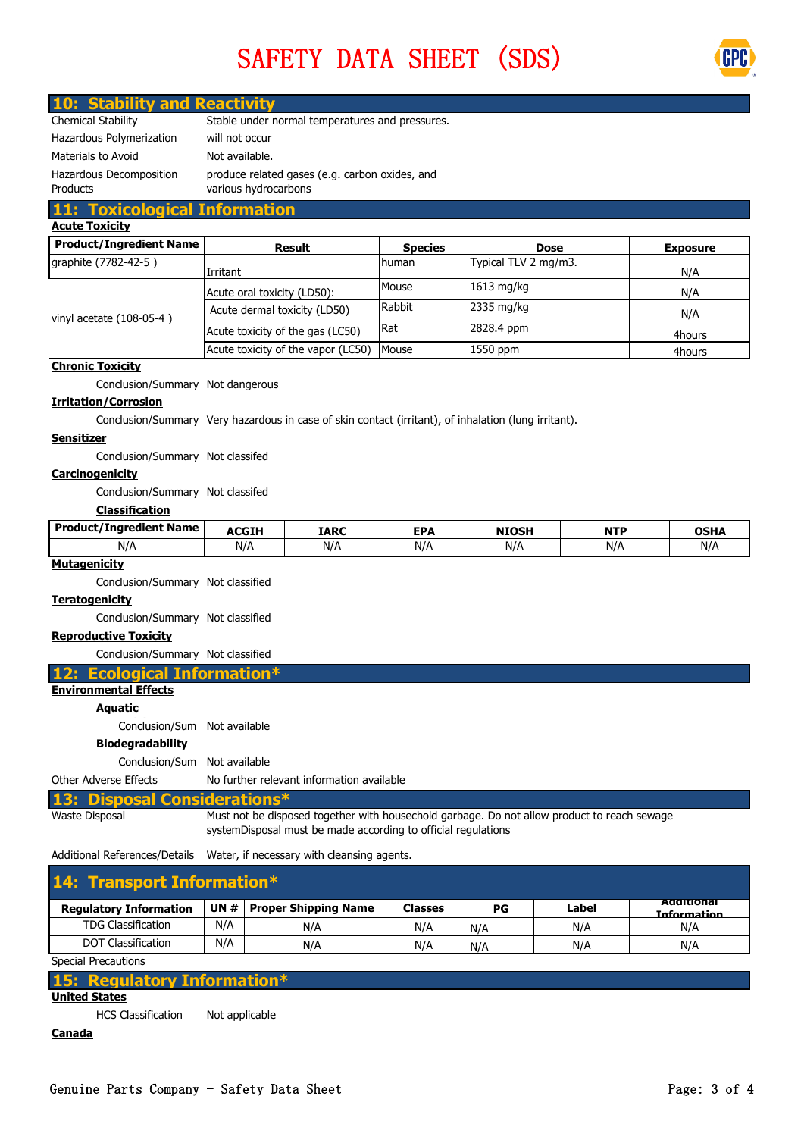# SAFETY DATA SHEET (SDS)



### **10: Stability and Reactivity**

| Chemical Stability                         | Stable under normal temperatures and pressures.                        |
|--------------------------------------------|------------------------------------------------------------------------|
| Hazardous Polymerization                   | will not occur                                                         |
| Materials to Avoid                         | Not available.                                                         |
| Hazardous Decomposition<br><b>Products</b> | produce related gases (e.g. carbon oxides, and<br>various hydrocarbons |

#### **Acute Toxicity 11: Toxicological Information**

| ACULC I UAICILY                |                                    |                |                      |                 |
|--------------------------------|------------------------------------|----------------|----------------------|-----------------|
| <b>Product/Ingredient Name</b> | <b>Result</b>                      | <b>Species</b> | <b>Dose</b>          | <b>Exposure</b> |
| graphite (7782-42-5)           | Irritant                           | human          | Typical TLV 2 mg/m3. | N/A             |
|                                | Acute oral toxicity (LD50):        | Mouse          | $1613$ mg/kg         | N/A             |
| vinyl acetate $(108-05-4)$     | Acute dermal toxicity (LD50)       | Rabbit         | 2335 mg/kg           | N/A             |
|                                | Acute toxicity of the gas (LC50)   | l Rat          | 2828.4 ppm           | 4hours          |
|                                | Acute toxicity of the vapor (LC50) | Mouse          | 1550 ppm             | 4hours          |

### **Chronic Toxicity**

Conclusion/Summary Not dangerous

### **Irritation/Corrosion**

Conclusion/Summary Very hazardous in case of skin contact (irritant), of inhalation (lung irritant).

### **Sensitizer**

Conclusion/Summary Not classifed

### **Carcinogenicity**

Conclusion/Summary Not classifed

### **Classification**

| <b>Product/Ingredient Name</b> | <b>ACGIH</b> | IARC | <b>EPA</b> | <b>NIOSH</b> | <b>NTP</b> | <b>OSHA</b> |
|--------------------------------|--------------|------|------------|--------------|------------|-------------|
| N/A                            | N/t          | N/A  | N/A        | N/A          | $N/\rho$   | N/,         |

### **Mutagenicity**

Conclusion/Summary Not classified

### **Teratogenicity**

Conclusion/Summary Not classified

### **Reproductive Toxicity**

Conclusion/Summary Not classified

**12: Ecological Information**<sup>\*</sup>

### **Environmental Effects**

**Aquatic**

Conclusion/Sum Not available

### **Biodegradability**

Conclusion/Sum Not available

Other Adverse Effects No further relevant information available

### **13: Disposal Considerations\***

Must not be disposed together with housechold garbage. Do not allow product to reach sewage systemDisposal must be made according to official regulations

Additional References/Details Water, if necessary with cleansing agents.

| 14: Transport Information*    |     |                               |                |     |       |                                         |
|-------------------------------|-----|-------------------------------|----------------|-----|-------|-----------------------------------------|
| <b>Regulatory Information</b> |     | UN $#$   Proper Shipping Name | <b>Classes</b> | РG  | Label | <b>Additional</b><br><b>Information</b> |
| <b>TDG Classification</b>     | N/A | N/A                           | N/A            | N/A | N/A   | N/A                                     |
| <b>DOT Classification</b>     | N/A | N/A                           | N/A            | N/A | N/A   | N/A                                     |
| Caracter Documentation        |     |                               |                |     |       |                                         |

Special Precautions

Waste Disposal

|                           | 15: Regulatory Information* |
|---------------------------|-----------------------------|
| <b>United States</b>      |                             |
| <b>HCS Classification</b> | Not applicable              |

### **Canada**